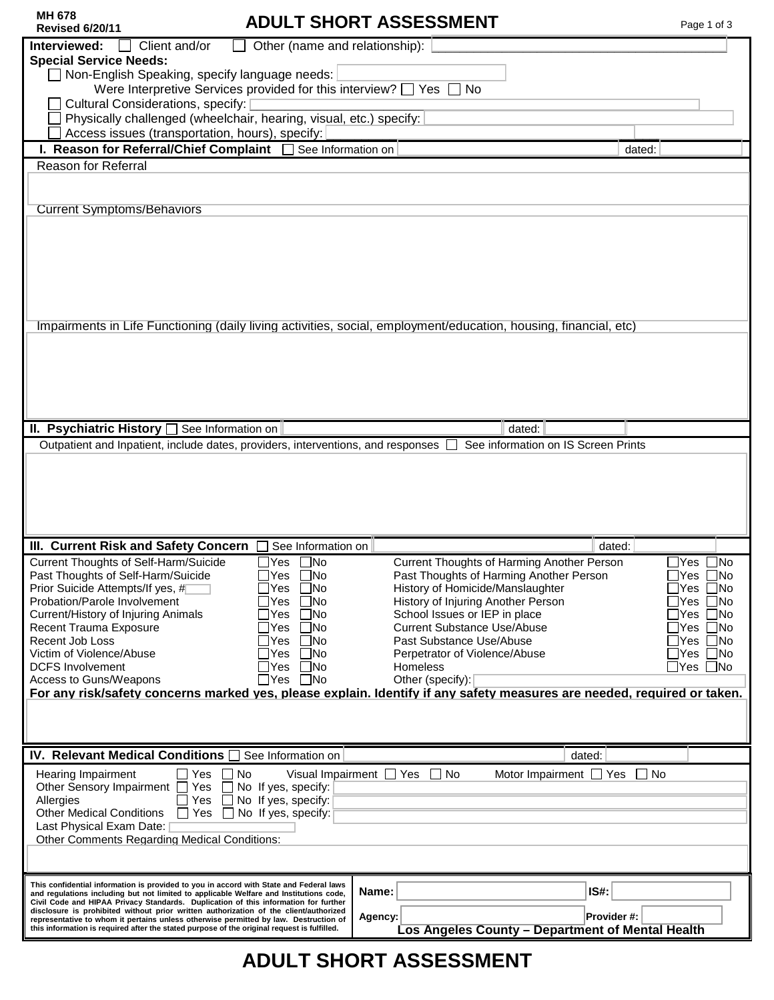| <b>MH 678</b><br><b>Revised 6/20/11</b>                                                                                                                                       |                                | <b>ADULT SHORT ASSESSMENT</b>                                                                                           | Page 1 of 3             |  |
|-------------------------------------------------------------------------------------------------------------------------------------------------------------------------------|--------------------------------|-------------------------------------------------------------------------------------------------------------------------|-------------------------|--|
| Interviewed:<br>Client and/or                                                                                                                                                 | Other (name and relationship): |                                                                                                                         |                         |  |
| <b>Special Service Needs:</b>                                                                                                                                                 |                                |                                                                                                                         |                         |  |
| Non-English Speaking, specify language needs:<br>Were Interpretive Services provided for this interview? $\Box$ Yes $\Box$ No                                                 |                                |                                                                                                                         |                         |  |
| Cultural Considerations, specify:                                                                                                                                             |                                |                                                                                                                         |                         |  |
| Physically challenged (wheelchair, hearing, visual, etc.) specify:                                                                                                            |                                |                                                                                                                         |                         |  |
| Access issues (transportation, hours), specify:                                                                                                                               |                                |                                                                                                                         |                         |  |
| I. Reason for Referral/Chief Complaint   See Information on                                                                                                                   |                                | dated:                                                                                                                  |                         |  |
| Reason for Referral                                                                                                                                                           |                                |                                                                                                                         |                         |  |
|                                                                                                                                                                               |                                |                                                                                                                         |                         |  |
|                                                                                                                                                                               |                                |                                                                                                                         |                         |  |
| <b>Current Symptoms/Behaviors</b>                                                                                                                                             |                                |                                                                                                                         |                         |  |
|                                                                                                                                                                               |                                |                                                                                                                         |                         |  |
|                                                                                                                                                                               |                                |                                                                                                                         |                         |  |
|                                                                                                                                                                               |                                |                                                                                                                         |                         |  |
|                                                                                                                                                                               |                                |                                                                                                                         |                         |  |
|                                                                                                                                                                               |                                |                                                                                                                         |                         |  |
|                                                                                                                                                                               |                                |                                                                                                                         |                         |  |
|                                                                                                                                                                               |                                | Impairments in Life Functioning (daily living activities, social, employment/education, housing, financial, etc)        |                         |  |
|                                                                                                                                                                               |                                |                                                                                                                         |                         |  |
|                                                                                                                                                                               |                                |                                                                                                                         |                         |  |
|                                                                                                                                                                               |                                |                                                                                                                         |                         |  |
|                                                                                                                                                                               |                                |                                                                                                                         |                         |  |
|                                                                                                                                                                               |                                |                                                                                                                         |                         |  |
| II. Psychiatric History <b>See Information on</b>                                                                                                                             |                                | dated:                                                                                                                  |                         |  |
| Outpatient and Inpatient, include dates, providers, interventions, and responses $\Box$                                                                                       |                                | See information on IS Screen Prints                                                                                     |                         |  |
|                                                                                                                                                                               |                                |                                                                                                                         |                         |  |
|                                                                                                                                                                               |                                |                                                                                                                         |                         |  |
|                                                                                                                                                                               |                                |                                                                                                                         |                         |  |
|                                                                                                                                                                               |                                |                                                                                                                         |                         |  |
|                                                                                                                                                                               |                                |                                                                                                                         |                         |  |
| III. Current Risk and Safety Concern<br><b>Current Thoughts of Self-Harm/Suicide</b>                                                                                          | See Information on<br>Yes □No  | dated:<br>Current Thoughts of Harming Another Person                                                                    | $\exists$ Yes $\Box$ No |  |
| Past Thoughts of Self-Harm/Suicide                                                                                                                                            | $\Box$ Yes $\Box$ No           | Past Thoughts of Harming Another Person                                                                                 | $\Box$ Yes $\Box$ No    |  |
| Prior Suicide Attempts/If yes, #                                                                                                                                              | Yes □No                        | History of Homicide/Manslaughter                                                                                        | $\Box$ Yes $\Box$ No    |  |
| Probation/Parole Involvement                                                                                                                                                  | Yes<br>$\Box$ No               | History of Injuring Another Person                                                                                      | ]Yes □No                |  |
| Current/History of Injuring Animals                                                                                                                                           | Yes<br>$\Box$ No               | School Issues or IEP in place                                                                                           | ∏Yes ∏No                |  |
| Recent Trauma Exposure<br>Recent Job Loss                                                                                                                                     | Yes<br>$\Box$ No<br>Yes □No    | <b>Current Substance Use/Abuse</b><br>Past Substance Use/Abuse                                                          | ∏Yes ∏No<br>Nes ∐No     |  |
| Victim of Violence/Abuse                                                                                                                                                      | Yes<br>$\Box$ No               | Perpetrator of Violence/Abuse                                                                                           | ∏Yes ∏No                |  |
| <b>DCFS Involvement</b>                                                                                                                                                       | Yes □No                        | <b>Homeless</b>                                                                                                         | _Yes □No                |  |
| Access to Guns/Weapons                                                                                                                                                        | $\Box$ Yes $\Box$ No           | Other (specify):                                                                                                        |                         |  |
|                                                                                                                                                                               |                                | For any risk/safety concerns marked yes, please explain. Identify if any safety measures are needed, required or taken. |                         |  |
|                                                                                                                                                                               |                                |                                                                                                                         |                         |  |
|                                                                                                                                                                               |                                |                                                                                                                         |                         |  |
| IV. Relevant Medical Conditions   See Information on                                                                                                                          |                                | dated:                                                                                                                  |                         |  |
| $\Box$ Yes $\Box$ No<br>Hearing Impairment                                                                                                                                    |                                | Visual Impairment $\Box$ Yes $\Box$ No<br>Motor Impairment $\Box$ Yes $\Box$ No                                         |                         |  |
| Other Sensory Impairment □ Yes □ No If yes, specify:                                                                                                                          |                                |                                                                                                                         |                         |  |
| Allergies                                                                                                                                                                     | Yes $\Box$ No If yes, specify: |                                                                                                                         |                         |  |
| <b>Other Medical Conditions</b><br>$\Box$ Yes $\Box$ No If yes, specify:                                                                                                      |                                |                                                                                                                         |                         |  |
| Last Physical Exam Date:  <br><b>Other Comments Regarding Medical Conditions:</b>                                                                                             |                                |                                                                                                                         |                         |  |
|                                                                                                                                                                               |                                |                                                                                                                         |                         |  |
|                                                                                                                                                                               |                                |                                                                                                                         |                         |  |
| This confidential information is provided to you in accord with State and Federal laws                                                                                        |                                | IS#:                                                                                                                    |                         |  |
| and regulations including but not limited to applicable Welfare and Institutions code,<br>Civil Code and HIPAA Privacy Standards. Duplication of this information for further |                                | Name:                                                                                                                   |                         |  |
| disclosure is prohibited without prior written authorization of the client/authorized<br>representative to whom it pertains unless otherwise permitted by law. Destruction of |                                | Provider #:<br>Agency:                                                                                                  |                         |  |
| this information is required after the stated purpose of the original request is fulfilled.                                                                                   |                                | Los Angeles County - Department of Mental Health                                                                        |                         |  |
|                                                                                                                                                                               |                                |                                                                                                                         |                         |  |

# **ADULT SHORT ASSESSMENT**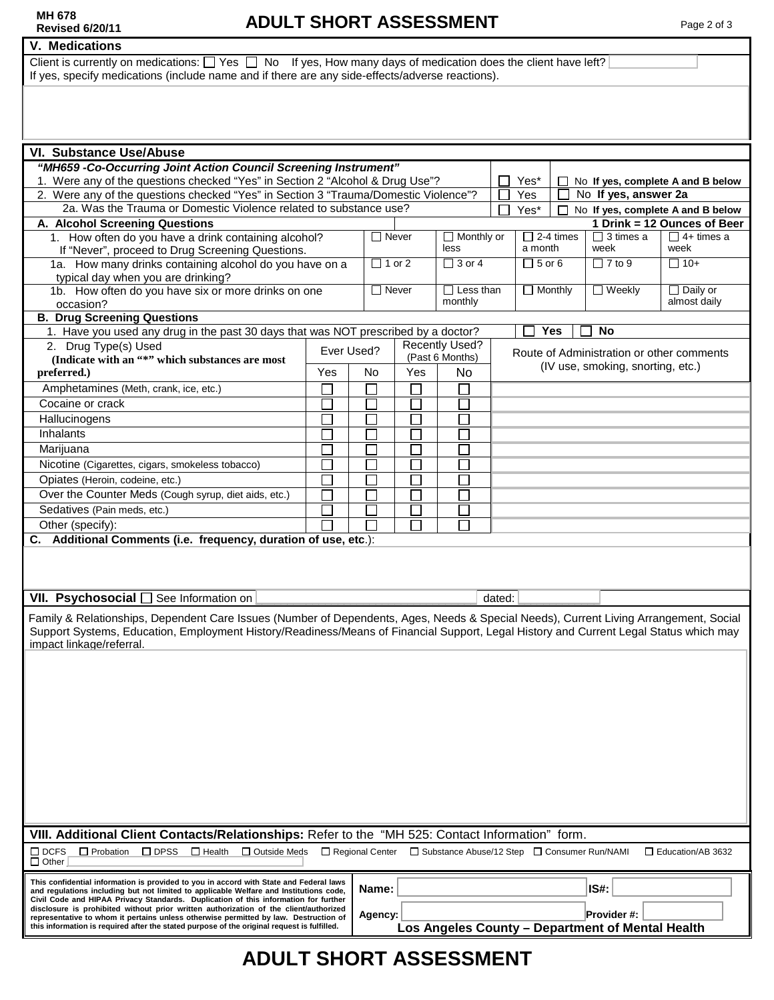#### **V. Medications**

Client is currently on medications:  $\Box$  Yes  $\Box$  No If yes, How many days of medication does the client have left? If yes, specify medications (include name and if there are any side-effects/adverse reactions).

| VI. Substance Use/Abuse                                                                                                                                                                                                                                                                                                        |            |              |                                |                                          |                                                  |     |                          |                                                  |                                 |
|--------------------------------------------------------------------------------------------------------------------------------------------------------------------------------------------------------------------------------------------------------------------------------------------------------------------------------|------------|--------------|--------------------------------|------------------------------------------|--------------------------------------------------|-----|--------------------------|--------------------------------------------------|---------------------------------|
| "MH659 -Co-Occurring Joint Action Council Screening Instrument"<br>1. Were any of the questions checked "Yes" in Section 2 "Alcohol & Drug Use"?<br>Yes*<br>No If yes, complete A and B below<br>$\perp$<br>2. Were any of the questions checked "Yes" in Section 3 "Trauma/Domestic Violence"?<br>No If yes, answer 2a<br>Yes |            |              |                                |                                          |                                                  |     |                          |                                                  |                                 |
| 2a. Was the Trauma or Domestic Violence related to substance use?<br>Yes*<br>No If yes, complete A and B below                                                                                                                                                                                                                 |            |              |                                |                                          |                                                  |     |                          |                                                  |                                 |
| A. Alcohol Screening Questions                                                                                                                                                                                                                                                                                                 |            |              |                                |                                          |                                                  |     |                          |                                                  | 1 Drink = 12 Ounces of Beer     |
| 1. How often do you have a drink containing alcohol?<br>If "Never", proceed to Drug Screening Questions.                                                                                                                                                                                                                       |            |              | $\Box$ Never<br>less           |                                          | $\Box$ 2-4 times<br>$\Box$ Monthly or<br>a month |     | $\Box$ 3 times a<br>week | $\Box$ 4+ times a<br>week                        |                                 |
| 1a. How many drinks containing alcohol do you have on a<br>typical day when you are drinking?                                                                                                                                                                                                                                  |            |              | $\Box$ 1 or 2<br>$\Box$ 3 or 4 |                                          | $\Box$ 5 or 6                                    |     |                          | $\Box$ 7 to 9                                    | $\Box$ 10+                      |
| 1b. How often do you have six or more drinks on one<br>occasion?                                                                                                                                                                                                                                                               |            | $\Box$ Never |                                | $\Box$ Less than<br>monthly              | $\Box$ Monthly                                   |     |                          | $\Box$ Weekly                                    | $\Box$ Daily or<br>almost daily |
| <b>B. Drug Screening Questions</b>                                                                                                                                                                                                                                                                                             |            |              |                                |                                          |                                                  |     |                          |                                                  |                                 |
| 1. Have you used any drug in the past 30 days that was NOT prescribed by a doctor?                                                                                                                                                                                                                                             |            |              |                                |                                          |                                                  | Yes |                          | <b>No</b>                                        |                                 |
| 2. Drug Type(s) Used                                                                                                                                                                                                                                                                                                           | Ever Used? |              |                                | <b>Recently Used?</b><br>(Past 6 Months) |                                                  |     |                          | Route of Administration or other comments        |                                 |
| (Indicate with an "*" which substances are most                                                                                                                                                                                                                                                                                |            |              |                                | <b>No</b>                                | (IV use, smoking, snorting, etc.)                |     |                          |                                                  |                                 |
| preferred.)                                                                                                                                                                                                                                                                                                                    | Yes        | No           | <b>Yes</b>                     |                                          |                                                  |     |                          |                                                  |                                 |
| Amphetamines (Meth, crank, ice, etc.)                                                                                                                                                                                                                                                                                          |            |              |                                |                                          |                                                  |     |                          |                                                  |                                 |
| Cocaine or crack                                                                                                                                                                                                                                                                                                               |            |              |                                |                                          |                                                  |     |                          |                                                  |                                 |
| Hallucinogens                                                                                                                                                                                                                                                                                                                  |            |              |                                |                                          |                                                  |     |                          |                                                  |                                 |
| Inhalants                                                                                                                                                                                                                                                                                                                      |            |              |                                |                                          |                                                  |     |                          |                                                  |                                 |
| Marijuana                                                                                                                                                                                                                                                                                                                      |            |              |                                |                                          |                                                  |     |                          |                                                  |                                 |
| Nicotine (Cigarettes, cigars, smokeless tobacco)                                                                                                                                                                                                                                                                               |            |              |                                |                                          |                                                  |     |                          |                                                  |                                 |
| Opiates (Heroin, codeine, etc.)                                                                                                                                                                                                                                                                                                |            |              |                                |                                          |                                                  |     |                          |                                                  |                                 |
| Over the Counter Meds (Cough syrup, diet aids, etc.)                                                                                                                                                                                                                                                                           |            |              |                                |                                          |                                                  |     |                          |                                                  |                                 |
| Sedatives (Pain meds, etc.)                                                                                                                                                                                                                                                                                                    |            |              |                                |                                          |                                                  |     |                          |                                                  |                                 |
| Other (specify):                                                                                                                                                                                                                                                                                                               |            |              |                                |                                          |                                                  |     |                          |                                                  |                                 |
| C. Additional Comments (i.e. frequency, duration of use, etc.):                                                                                                                                                                                                                                                                |            |              |                                |                                          |                                                  |     |                          |                                                  |                                 |
| VII. Psychosocial [<br>See Information on                                                                                                                                                                                                                                                                                      |            |              |                                |                                          | dated:                                           |     |                          |                                                  |                                 |
| Family & Relationships, Dependent Care Issues (Number of Dependents, Ages, Needs & Special Needs), Current Living Arrangement, Social<br>Support Systems, Education, Employment History/Readiness/Means of Financial Support, Legal History and Current Legal Status which may<br>impact linkage/referral.                     |            |              |                                |                                          |                                                  |     |                          |                                                  |                                 |
| VIII. Additional Client Contacts/Relationships: Refer to the "MH 525: Contact Information" form.                                                                                                                                                                                                                               |            |              |                                |                                          |                                                  |     |                          |                                                  |                                 |
| $\Box$ DCFS<br>$\Box$ Probation<br>$\square$ DPSS<br>$\Box$ Health<br>□ Outside Meds<br>Regional Center<br>□ Substance Abuse/12 Step □ Consumer Run/NAMI<br>Education/AB 3632<br>$\Box$ Other                                                                                                                                  |            |              |                                |                                          |                                                  |     |                          |                                                  |                                 |
| This confidential information is provided to you in accord with State and Federal laws<br>and regulations including but not limited to applicable Welfare and Institutions code,<br>Civil Code and HIPAA Privacy Standards. Duplication of this information for further                                                        |            | Name:        |                                |                                          |                                                  |     |                          | IS#:                                             |                                 |
| disclosure is prohibited without prior written authorization of the client/authorized<br>representative to whom it pertains unless otherwise permitted by law. Destruction of                                                                                                                                                  |            |              |                                |                                          |                                                  |     |                          | Provider #:                                      |                                 |
| this information is required after the stated purpose of the original request is fulfilled.                                                                                                                                                                                                                                    |            | Agency:      |                                |                                          |                                                  |     |                          | Los Angeles County - Department of Mental Health |                                 |

# **ADULT SHORT ASSESSMENT**